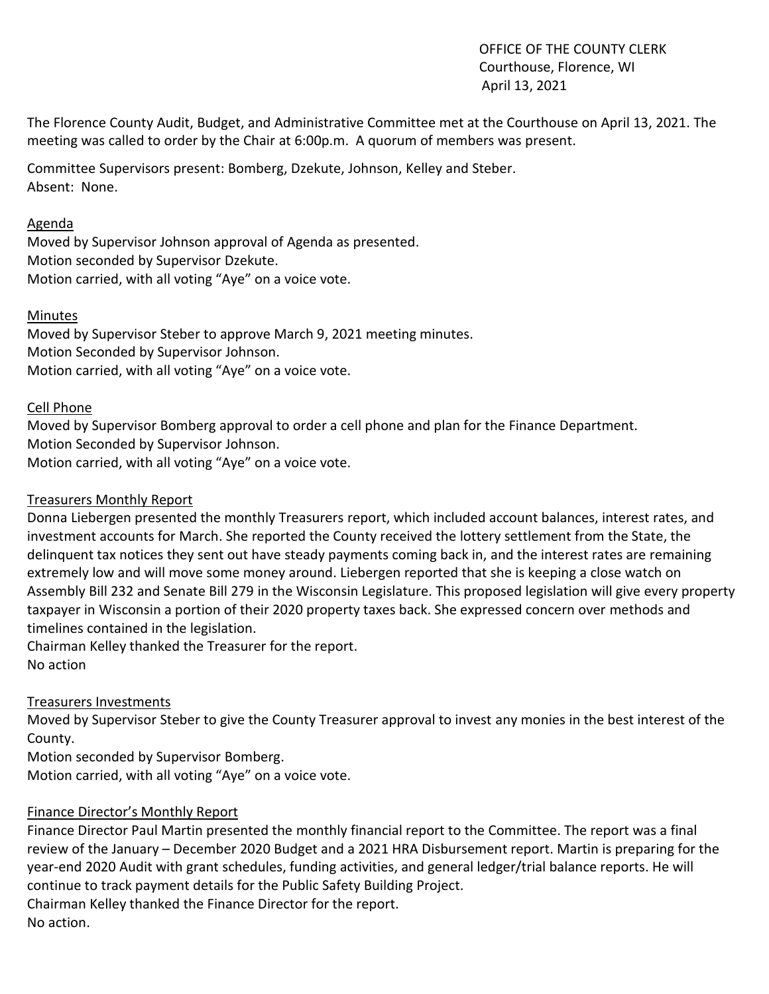OFFICE OF THE COUNTY CLERK Courthouse, Florence, WI April 13, 2021

The Florence County Audit, Budget, and Administrative Committee met at the Courthouse on April 13, 2021. The meeting was called to order by the Chair at 6:00p.m. A quorum of members was present.

Committee Supervisors present: Bomberg, Dzekute, Johnson, Kelley and Steber. Absent: None.

## Agenda

Moved by Supervisor Johnson approval of Agenda as presented. Motion seconded by Supervisor Dzekute. Motion carried, with all voting "Aye" on a voice vote.

## Minutes

Moved by Supervisor Steber to approve March 9, 2021 meeting minutes. Motion Seconded by Supervisor Johnson. Motion carried, with all voting "Aye" on a voice vote.

#### Cell Phone

Moved by Supervisor Bomberg approval to order a cell phone and plan for the Finance Department. Motion Seconded by Supervisor Johnson. Motion carried, with all voting "Aye" on a voice vote.

#### Treasurers Monthly Report

Donna Liebergen presented the monthly Treasurers report, which included account balances, interest rates, and investment accounts for March. She reported the County received the lottery settlement from the State, the delinquent tax notices they sent out have steady payments coming back in, and the interest rates are remaining extremely low and will move some money around. Liebergen reported that she is keeping a close watch on Assembly Bill 232 and Senate Bill 279 in the Wisconsin Legislature. This proposed legislation will give every property taxpayer in Wisconsin a portion of their 2020 property taxes back. She expressed concern over methods and timelines contained in the legislation.

Chairman Kelley thanked the Treasurer for the report. No action

#### Treasurers Investments

Moved by Supervisor Steber to give the County Treasurer approval to invest any monies in the best interest of the County.

Motion seconded by Supervisor Bomberg.

Motion carried, with all voting "Aye" on a voice vote.

# Finance Director's Monthly Report

Finance Director Paul Martin presented the monthly financial report to the Committee. The report was a final review of the January – December 2020 Budget and a 2021 HRA Disbursement report. Martin is preparing for the year-end 2020 Audit with grant schedules, funding activities, and general ledger/trial balance reports. He will continue to track payment details for the Public Safety Building Project. Chairman Kelley thanked the Finance Director for the report. No action.